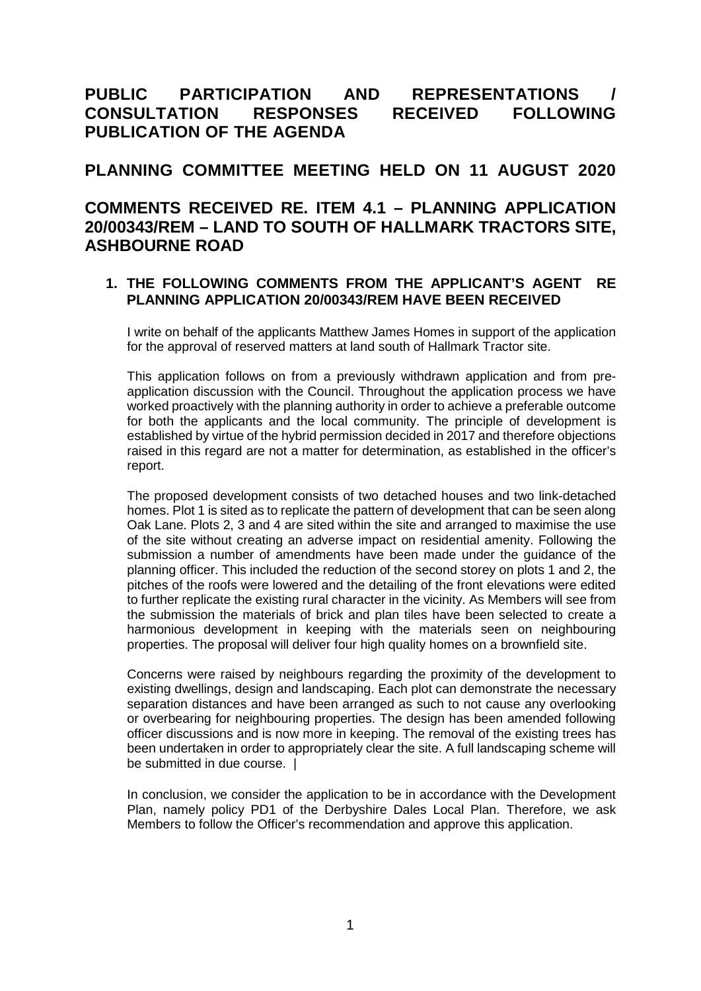# **PUBLIC PARTICIPATION AND REPRESENTATIONS / CONSULTATION RESPONSES RECEIVED FOLLOWING PUBLICATION OF THE AGENDA**

### **PLANNING COMMITTEE MEETING HELD ON 11 AUGUST 2020**

## **COMMENTS RECEIVED RE. ITEM 4.1 – PLANNING APPLICATION 20/00343/REM – LAND TO SOUTH OF HALLMARK TRACTORS SITE, ASHBOURNE ROAD**

### **1. THE FOLLOWING COMMENTS FROM THE APPLICANT'S AGENT RE PLANNING APPLICATION 20/00343/REM HAVE BEEN RECEIVED**

I write on behalf of the applicants Matthew James Homes in support of the application for the approval of reserved matters at land south of Hallmark Tractor site.

This application follows on from a previously withdrawn application and from preapplication discussion with the Council. Throughout the application process we have worked proactively with the planning authority in order to achieve a preferable outcome for both the applicants and the local community. The principle of development is established by virtue of the hybrid permission decided in 2017 and therefore objections raised in this regard are not a matter for determination, as established in the officer's report.

The proposed development consists of two detached houses and two link-detached homes. Plot 1 is sited as to replicate the pattern of development that can be seen along Oak Lane. Plots 2, 3 and 4 are sited within the site and arranged to maximise the use of the site without creating an adverse impact on residential amenity. Following the submission a number of amendments have been made under the guidance of the planning officer. This included the reduction of the second storey on plots 1 and 2, the pitches of the roofs were lowered and the detailing of the front elevations were edited to further replicate the existing rural character in the vicinity. As Members will see from the submission the materials of brick and plan tiles have been selected to create a harmonious development in keeping with the materials seen on neighbouring properties. The proposal will deliver four high quality homes on a brownfield site.

Concerns were raised by neighbours regarding the proximity of the development to existing dwellings, design and landscaping. Each plot can demonstrate the necessary separation distances and have been arranged as such to not cause any overlooking or overbearing for neighbouring properties. The design has been amended following officer discussions and is now more in keeping. The removal of the existing trees has been undertaken in order to appropriately clear the site. A full landscaping scheme will be submitted in due course. |

In conclusion, we consider the application to be in accordance with the Development Plan, namely policy PD1 of the Derbyshire Dales Local Plan. Therefore, we ask Members to follow the Officer's recommendation and approve this application.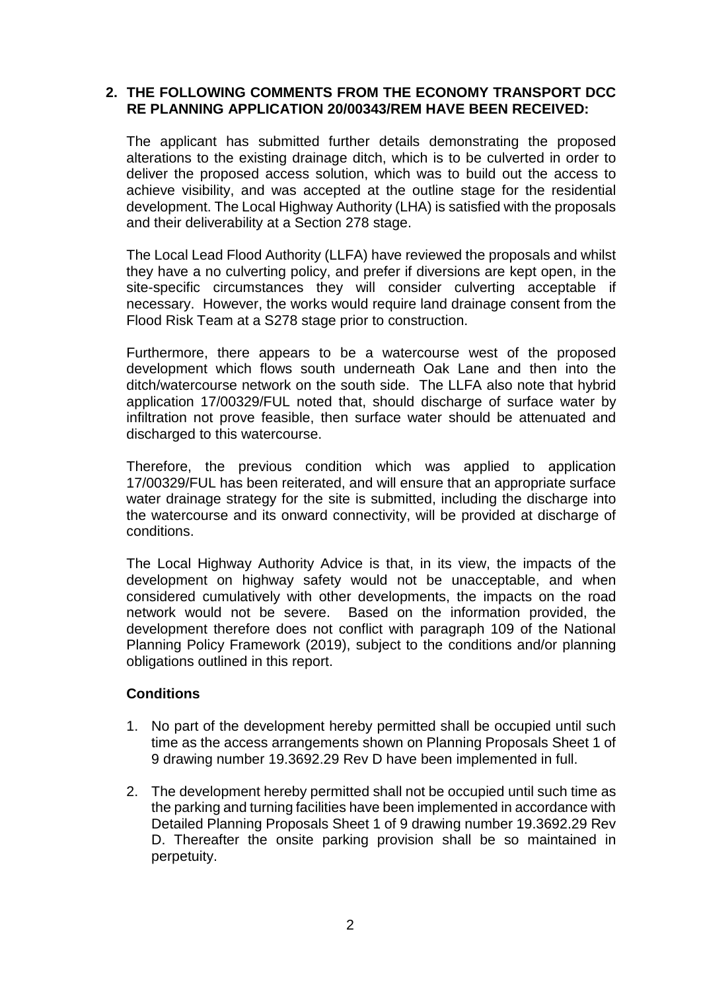#### **2. THE FOLLOWING COMMENTS FROM THE ECONOMY TRANSPORT DCC RE PLANNING APPLICATION 20/00343/REM HAVE BEEN RECEIVED:**

The applicant has submitted further details demonstrating the proposed alterations to the existing drainage ditch, which is to be culverted in order to deliver the proposed access solution, which was to build out the access to achieve visibility, and was accepted at the outline stage for the residential development. The Local Highway Authority (LHA) is satisfied with the proposals and their deliverability at a Section 278 stage.

The Local Lead Flood Authority (LLFA) have reviewed the proposals and whilst they have a no culverting policy, and prefer if diversions are kept open, in the site-specific circumstances they will consider culverting acceptable if necessary. However, the works would require land drainage consent from the Flood Risk Team at a S278 stage prior to construction.

Furthermore, there appears to be a watercourse west of the proposed development which flows south underneath Oak Lane and then into the ditch/watercourse network on the south side. The LLFA also note that hybrid application 17/00329/FUL noted that, should discharge of surface water by infiltration not prove feasible, then surface water should be attenuated and discharged to this watercourse.

Therefore, the previous condition which was applied to application 17/00329/FUL has been reiterated, and will ensure that an appropriate surface water drainage strategy for the site is submitted, including the discharge into the watercourse and its onward connectivity, will be provided at discharge of conditions.

The Local Highway Authority Advice is that, in its view, the impacts of the development on highway safety would not be unacceptable, and when considered cumulatively with other developments, the impacts on the road network would not be severe. Based on the information provided, the development therefore does not conflict with paragraph 109 of the National Planning Policy Framework (2019), subject to the conditions and/or planning obligations outlined in this report.

#### **Conditions**

- 1. No part of the development hereby permitted shall be occupied until such time as the access arrangements shown on Planning Proposals Sheet 1 of 9 drawing number 19.3692.29 Rev D have been implemented in full.
- 2. The development hereby permitted shall not be occupied until such time as the parking and turning facilities have been implemented in accordance with Detailed Planning Proposals Sheet 1 of 9 drawing number 19.3692.29 Rev D. Thereafter the onsite parking provision shall be so maintained in perpetuity.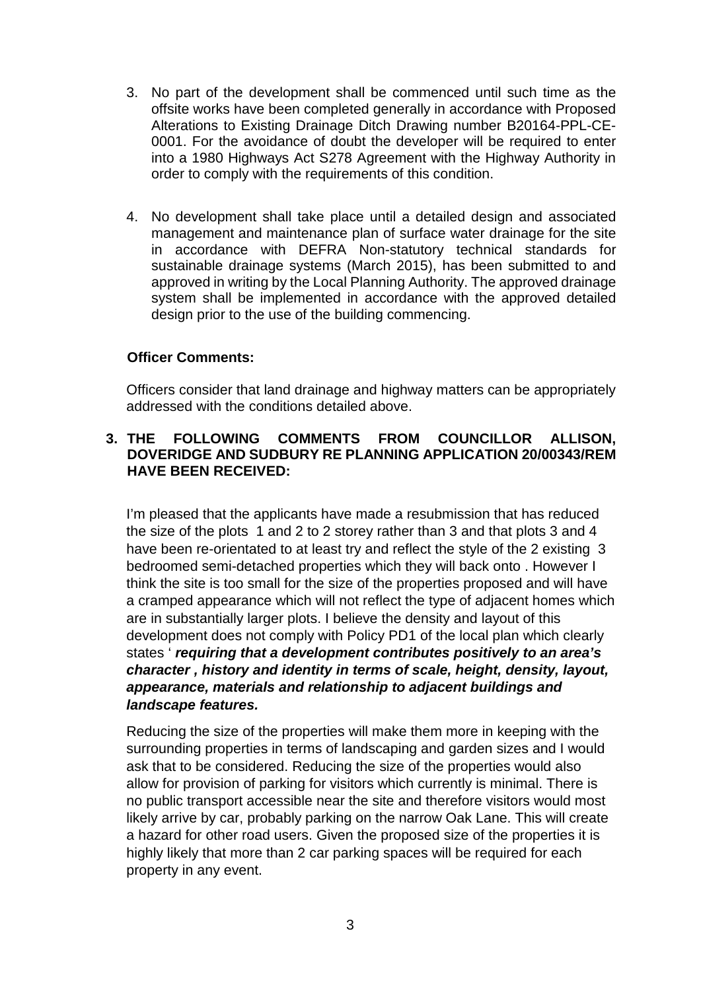- 3. No part of the development shall be commenced until such time as the offsite works have been completed generally in accordance with Proposed Alterations to Existing Drainage Ditch Drawing number B20164-PPL-CE-0001. For the avoidance of doubt the developer will be required to enter into a 1980 Highways Act S278 Agreement with the Highway Authority in order to comply with the requirements of this condition.
- 4. No development shall take place until a detailed design and associated management and maintenance plan of surface water drainage for the site in accordance with DEFRA Non-statutory technical standards for sustainable drainage systems (March 2015), has been submitted to and approved in writing by the Local Planning Authority. The approved drainage system shall be implemented in accordance with the approved detailed design prior to the use of the building commencing.

#### **Officer Comments:**

Officers consider that land drainage and highway matters can be appropriately addressed with the conditions detailed above.

### **3. THE FOLLOWING COMMENTS FROM COUNCILLOR ALLISON, DOVERIDGE AND SUDBURY RE PLANNING APPLICATION 20/00343/REM HAVE BEEN RECEIVED:**

I'm pleased that the applicants have made a resubmission that has reduced the size of the plots 1 and 2 to 2 storey rather than 3 and that plots 3 and 4 have been re-orientated to at least try and reflect the style of the 2 existing 3 bedroomed semi-detached properties which they will back onto . However I think the site is too small for the size of the properties proposed and will have a cramped appearance which will not reflect the type of adjacent homes which are in substantially larger plots. I believe the density and layout of this development does not comply with Policy PD1 of the local plan which clearly states ' *requiring that a development contributes positively to an area's character , history and identity in terms of scale, height, density, layout, appearance, materials and relationship to adjacent buildings and landscape features.*

Reducing the size of the properties will make them more in keeping with the surrounding properties in terms of landscaping and garden sizes and I would ask that to be considered. Reducing the size of the properties would also allow for provision of parking for visitors which currently is minimal. There is no public transport accessible near the site and therefore visitors would most likely arrive by car, probably parking on the narrow Oak Lane. This will create a hazard for other road users. Given the proposed size of the properties it is highly likely that more than 2 car parking spaces will be required for each property in any event.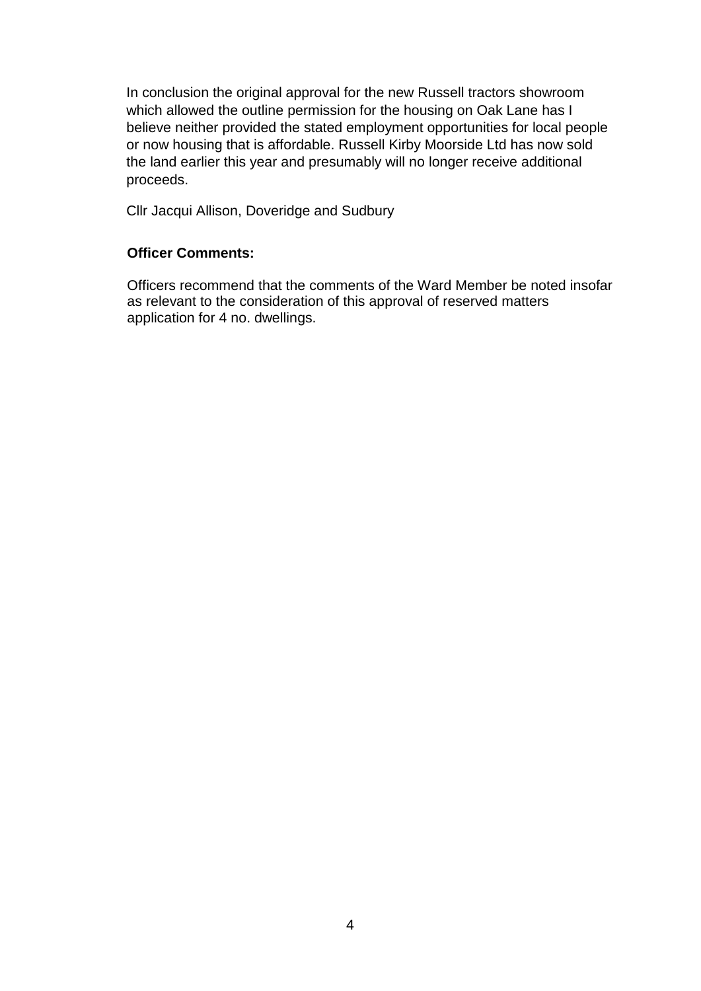In conclusion the original approval for the new Russell tractors showroom which allowed the outline permission for the housing on Oak Lane has I believe neither provided the stated employment opportunities for local people or now housing that is affordable. Russell Kirby Moorside Ltd has now sold the land earlier this year and presumably will no longer receive additional proceeds.

Cllr Jacqui Allison, Doveridge and Sudbury

#### **Officer Comments:**

Officers recommend that the comments of the Ward Member be noted insofar as relevant to the consideration of this approval of reserved matters application for 4 no. dwellings.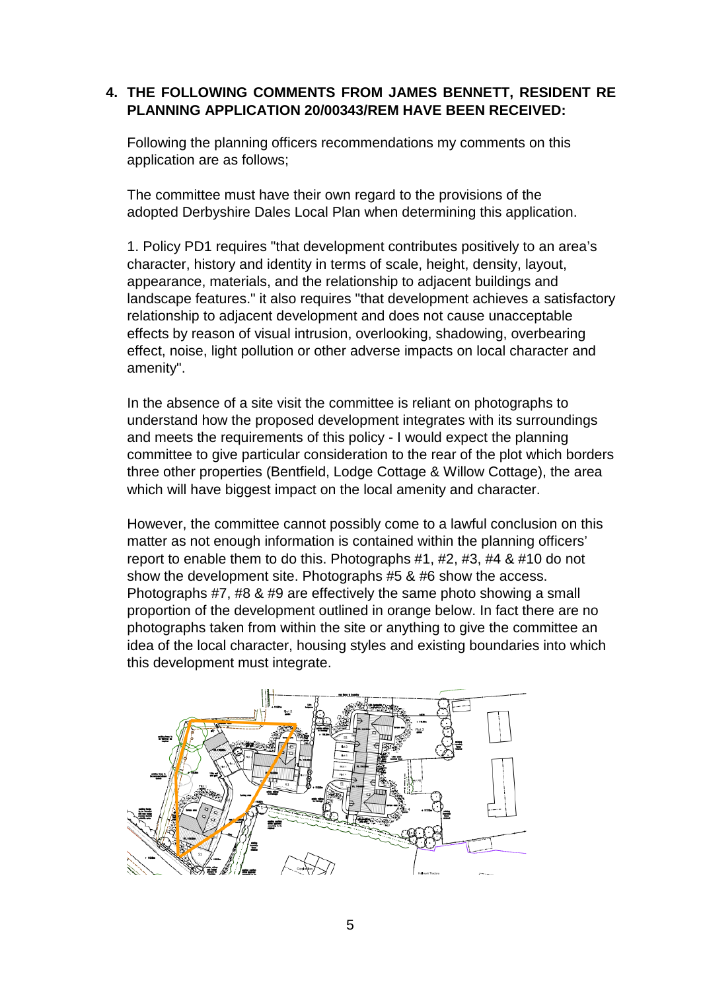### **4. THE FOLLOWING COMMENTS FROM JAMES BENNETT, RESIDENT RE PLANNING APPLICATION 20/00343/REM HAVE BEEN RECEIVED:**

Following the planning officers recommendations my comments on this application are as follows;

The committee must have their own regard to the provisions of the adopted Derbyshire Dales Local Plan when determining this application.

1. Policy PD1 requires "that development contributes positively to an area's character, history and identity in terms of scale, height, density, layout, appearance, materials, and the relationship to adjacent buildings and landscape features." it also requires "that development achieves a satisfactory relationship to adjacent development and does not cause unacceptable effects by reason of visual intrusion, overlooking, shadowing, overbearing effect, noise, light pollution or other adverse impacts on local character and amenity".

In the absence of a site visit the committee is reliant on photographs to understand how the proposed development integrates with its surroundings and meets the requirements of this policy - I would expect the planning committee to give particular consideration to the rear of the plot which borders three other properties (Bentfield, Lodge Cottage & Willow Cottage), the area which will have biggest impact on the local amenity and character.

However, the committee cannot possibly come to a lawful conclusion on this matter as not enough information is contained within the planning officers' report to enable them to do this. Photographs #1, #2, #3, #4 & #10 do not show the development site. Photographs #5 & #6 show the access. Photographs #7, #8 & #9 are effectively the same photo showing a small proportion of the development outlined in orange below. In fact there are no photographs taken from within the site or anything to give the committee an idea of the local character, housing styles and existing boundaries into which this development must integrate.

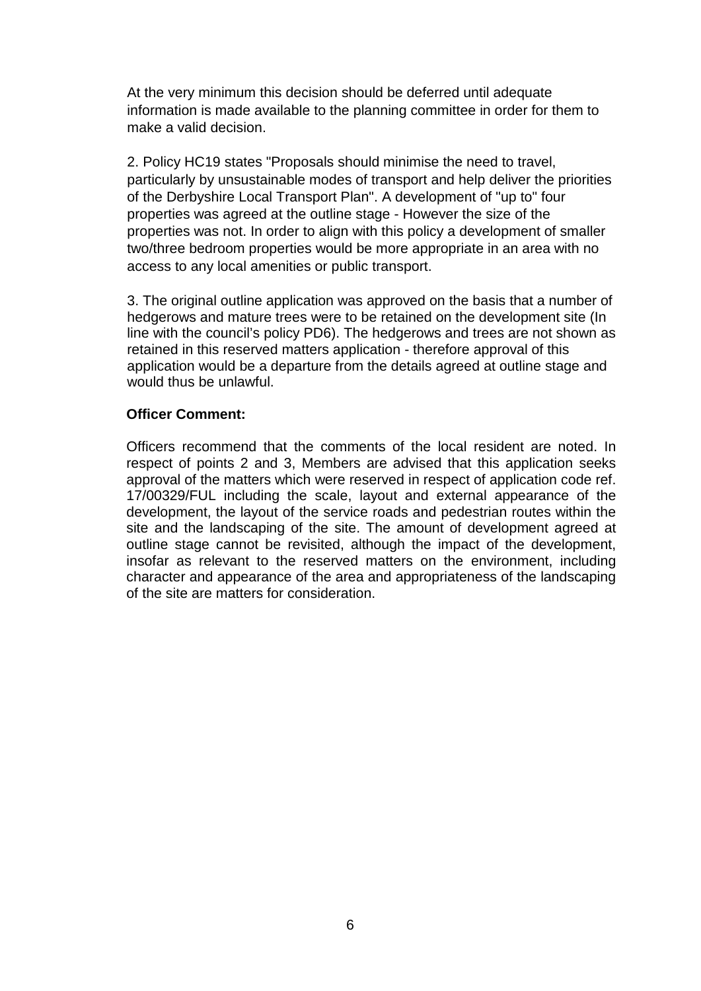At the very minimum this decision should be deferred until adequate information is made available to the planning committee in order for them to make a valid decision.

2. Policy HC19 states "Proposals should minimise the need to travel, particularly by unsustainable modes of transport and help deliver the priorities of the Derbyshire Local Transport Plan". A development of "up to" four properties was agreed at the outline stage - However the size of the properties was not. In order to align with this policy a development of smaller two/three bedroom properties would be more appropriate in an area with no access to any local amenities or public transport.

3. The original outline application was approved on the basis that a number of hedgerows and mature trees were to be retained on the development site (In line with the council's policy PD6). The hedgerows and trees are not shown as retained in this reserved matters application - therefore approval of this application would be a departure from the details agreed at outline stage and would thus be unlawful.

#### **Officer Comment:**

Officers recommend that the comments of the local resident are noted. In respect of points 2 and 3, Members are advised that this application seeks approval of the matters which were reserved in respect of application code ref. 17/00329/FUL including the scale, layout and external appearance of the development, the layout of the service roads and pedestrian routes within the site and the landscaping of the site. The amount of development agreed at outline stage cannot be revisited, although the impact of the development, insofar as relevant to the reserved matters on the environment, including character and appearance of the area and appropriateness of the landscaping of the site are matters for consideration.